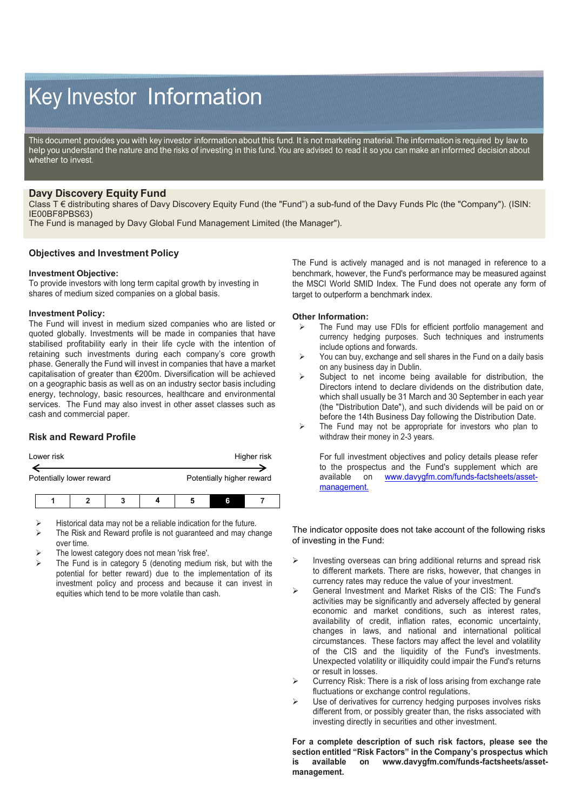# Key Investor Information

This document provides you with key investor information about this fund. It is not marketing material. The information is required by law to help you understand the nature and the risks of investing in this fund. You are advised to read it so you can make an informed decision about whether to invest.

# **Davy Discovery Equity Fund**

Class T € distributing shares of Davy Discovery Equity Fund (the "Fund") a sub-fund of the Davy Funds Plc (the "Company"). (ISIN: IE00BF8PBS63)

The Fund is managed by Davy Global Fund Management Limited (the Manager").

## **Objectives and Investment Policy**

#### **Investment Objective:**

To provide investors with long term capital growth by investing in shares of medium sized companies on a global basis.

#### **Investment Policy:**

The Fund will invest in medium sized companies who are listed or quoted globally. Investments will be made in companies that have stabilised profitability early in their life cycle with the intention of retaining such investments during each company's core growth phase. Generally the Fund will invest in companies that have a market capitalisation of greater than €200m. Diversification will be achieved on a geographic basis as well as on an industry sector basis including energy, technology, basic resources, healthcare and environmental services. The Fund may also invest in other asset classes such as cash and commercial paper.

## **Risk and Reward Profile**

| Lower risk | Higher risk |
|------------|-------------|
|            |             |

Potentially lower reward **Potentially higher reward** 

- Historical data may not be a reliable indication for the future.
- The Risk and Reward profile is not guaranteed and may change over time.
- The lowest category does not mean 'risk free'.
- The Fund is in category 5 (denoting medium risk, but with the potential for better reward) due to the implementation of its investment policy and process and because it can invest in equities which tend to be more volatile than cash.

The Fund is actively managed and is not managed in reference to a benchmark, however, the Fund's performance may be measured against the MSCI World SMID Index. The Fund does not operate any form of target to outperform a benchmark index.

### **Other Information:**

- The Fund may use FDIs for efficient portfolio management and currency hedging purposes. Such techniques and instruments include options and forwards.
- $\triangleright$  You can buy, exchange and sell shares in the Fund on a daily basis on any business day in Dublin.
- $\triangleright$  Subject to net income being available for distribution, the Directors intend to declare dividends on the distribution date, which shall usually be 31 March and 30 September in each year (the "Distribution Date"), and such dividends will be paid on or before the 14th Business Day following the Distribution Date.
- $\triangleright$  The Fund may not be appropriate for investors who plan to withdraw their money in 2-3 years.

For full investment objectives and policy details please refer to the prospectus and the Fund's supplement which are available on www.davygfm.com/funds-factsheets/asset[www.davygfm.com/funds-factsheets/asset](http://www.davygfm.com/funds-factsheets/asset-management.)[management.](http://www.davygfm.com/funds-factsheets/asset-management.)

The indicator opposite does not take account of the following risks of investing in the Fund:

- $\triangleright$  Investing overseas can bring additional returns and spread risk to different markets. There are risks, however, that changes in currency rates may reduce the value of your investment.
- General Investment and Market Risks of the CIS: The Fund's activities may be significantly and adversely affected by general economic and market conditions, such as interest rates, availability of credit, inflation rates, economic uncertainty, changes in laws, and national and international political circumstances. These factors may affect the level and volatility of the CIS and the liquidity of the Fund's investments. Unexpected volatility or illiquidity could impair the Fund's returns or result in losses.
- $\triangleright$  Currency Risk: There is a risk of loss arising from exchange rate fluctuations or exchange control regulations.
- Use of derivatives for currency hedging purposes involves risks different from, or possibly greater than, the risks associated with investing directly in securities and other investment.

**For a complete description of such risk factors, please see the section entitled "Risk Factors" in the Company's prospectus which is available on www.davygfm.com/funds-factsheets/assetmanagement.**